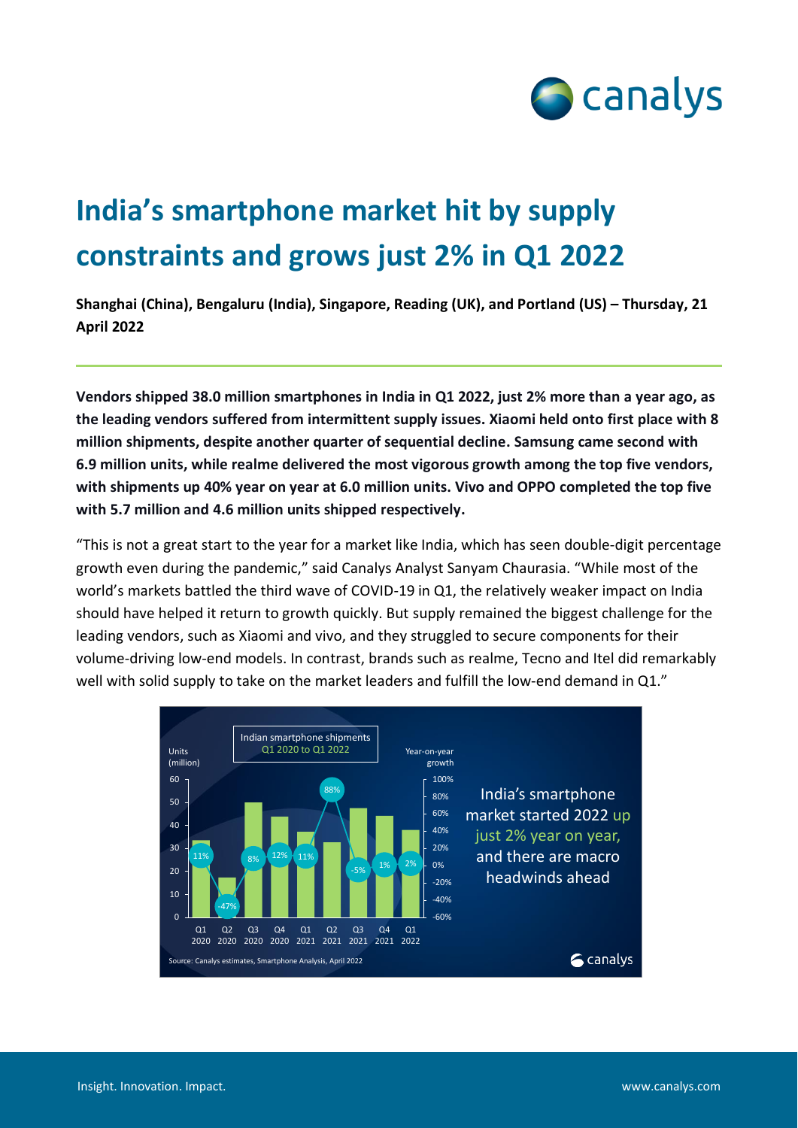

## **India's smartphone market hit by supply constraints and grows just 2% in Q1 2022**

**Shanghai (China), Bengaluru (India), Singapore, Reading (UK), and Portland (US) – Thursday, 21 April 2022**

**Vendors shipped 38.0 million smartphones in India in Q1 2022, just 2% more than a year ago, as the leading vendors suffered from intermittent supply issues. Xiaomi held onto first place with 8 million shipments, despite another quarter of sequential decline. Samsung came second with 6.9 million units, while realme delivered the most vigorous growth among the top five vendors, with shipments up 40% year on year at 6.0 million units. Vivo and OPPO completed the top five with 5.7 million and 4.6 million units shipped respectively.**

"This is not a great start to the year for a market like India, which has seen double-digit percentage growth even during the pandemic," said Canalys Analyst Sanyam Chaurasia. "While most of the world's markets battled the third wave of COVID-19 in Q1, the relatively weaker impact on India should have helped it return to growth quickly. But supply remained the biggest challenge for the leading vendors, such as Xiaomi and vivo, and they struggled to secure components for their volume-driving low-end models. In contrast, brands such as realme, Tecno and Itel did remarkably well with solid supply to take on the market leaders and fulfill the low-end demand in Q1."

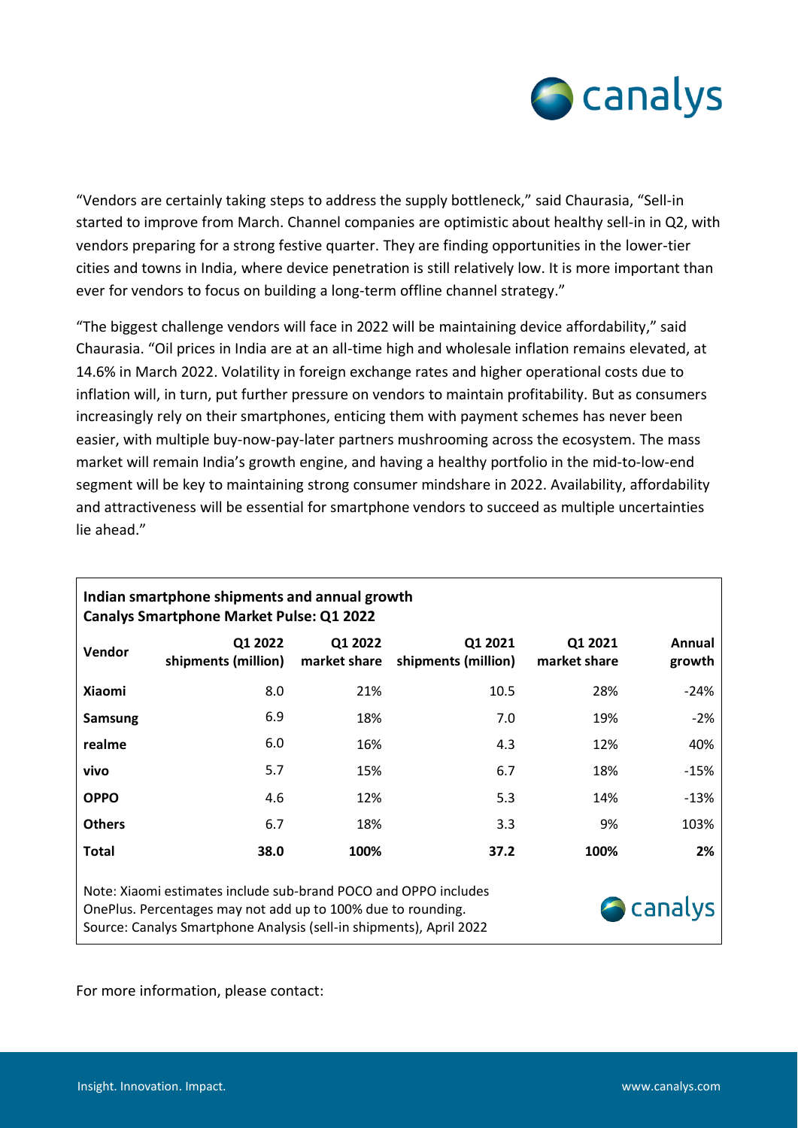

"Vendors are certainly taking steps to address the supply bottleneck," said Chaurasia, "Sell-in started to improve from March. Channel companies are optimistic about healthy sell-in in Q2, with vendors preparing for a strong festive quarter. They are finding opportunities in the lower-tier cities and towns in India, where device penetration is still relatively low. It is more important than ever for vendors to focus on building a long-term offline channel strategy."

"The biggest challenge vendors will face in 2022 will be maintaining device affordability," said Chaurasia. "Oil prices in India are at an all-time high and wholesale inflation remains elevated, at 14.6% in March 2022. Volatility in foreign exchange rates and higher operational costs due to inflation will, in turn, put further pressure on vendors to maintain profitability. But as consumers increasingly rely on their smartphones, enticing them with payment schemes has never been easier, with multiple buy-now-pay-later partners mushrooming across the ecosystem. The mass market will remain India's growth engine, and having a healthy portfolio in the mid-to-low-end segment will be key to maintaining strong consumer mindshare in 2022. Availability, affordability and attractiveness will be essential for smartphone vendors to succeed as multiple uncertainties lie ahead."

| Indian smartphone shipments and annual growth<br><b>Canalys Smartphone Market Pulse: Q1 2022</b>                                                                                                                           |                                |                         |                                |                         |                  |
|----------------------------------------------------------------------------------------------------------------------------------------------------------------------------------------------------------------------------|--------------------------------|-------------------------|--------------------------------|-------------------------|------------------|
| Vendor                                                                                                                                                                                                                     | Q1 2022<br>shipments (million) | Q1 2022<br>market share | Q1 2021<br>shipments (million) | Q1 2021<br>market share | Annual<br>growth |
| <b>Xiaomi</b>                                                                                                                                                                                                              | 8.0                            | 21%                     | 10.5                           | 28%                     | $-24%$           |
| Samsung                                                                                                                                                                                                                    | 6.9                            | 18%                     | 7.0                            | 19%                     | $-2%$            |
| realme                                                                                                                                                                                                                     | 6.0                            | 16%                     | 4.3                            | 12%                     | 40%              |
| vivo                                                                                                                                                                                                                       | 5.7                            | 15%                     | 6.7                            | 18%                     | $-15%$           |
| <b>OPPO</b>                                                                                                                                                                                                                | 4.6                            | 12%                     | 5.3                            | 14%                     | $-13%$           |
| <b>Others</b>                                                                                                                                                                                                              | 6.7                            | 18%                     | 3.3                            | 9%                      | 103%             |
| Total                                                                                                                                                                                                                      | 38.0                           | 100%                    | 37.2                           | 100%                    | 2%               |
| Note: Xiaomi estimates include sub-brand POCO and OPPO includes<br><b>A</b> canalys<br>OnePlus. Percentages may not add up to 100% due to rounding.<br>Source: Canalys Smartphone Analysis (sell-in shipments), April 2022 |                                |                         |                                |                         |                  |

For more information, please contact: